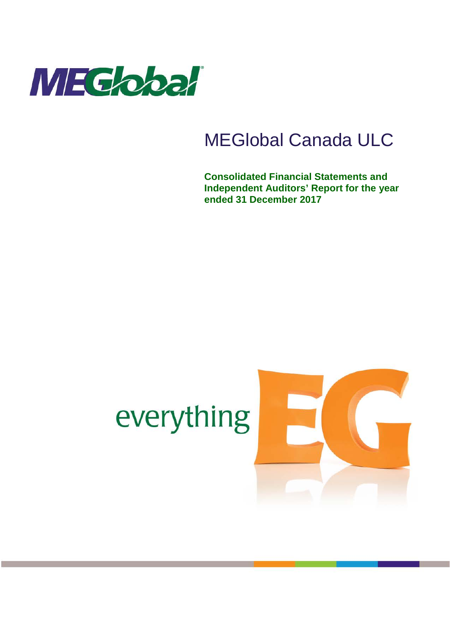

# MEGlobal Canada ULC

**Consolidated Financial Statements and Independent Auditors' Report for the year ended 31 December 2017**

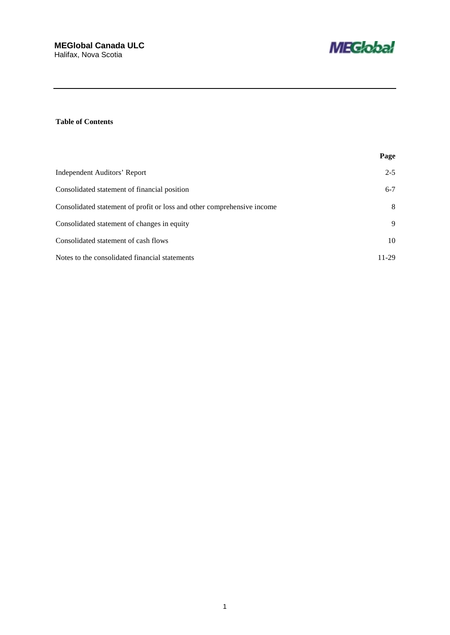

### **Table of Contents**

|                                                                         | Page    |
|-------------------------------------------------------------------------|---------|
| Independent Auditors' Report                                            | $2 - 5$ |
| Consolidated statement of financial position                            | $6 - 7$ |
| Consolidated statement of profit or loss and other comprehensive income | 8       |
| Consolidated statement of changes in equity                             | 9       |
| Consolidated statement of cash flows                                    | 10      |
| Notes to the consolidated financial statements                          | 11-29   |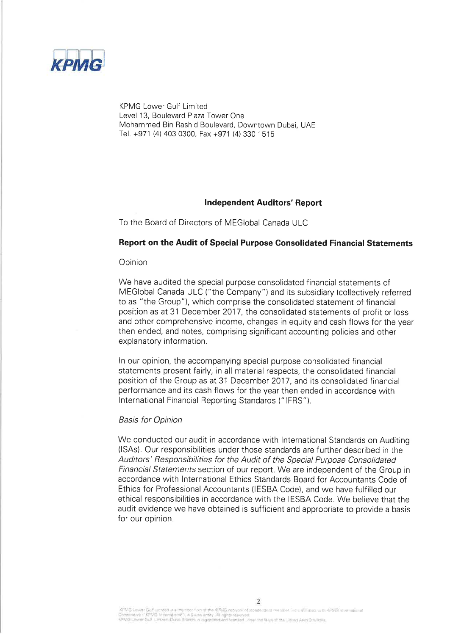

**KPMG Lower Gulf Limited** Level 13, Boulevard Plaza Tower One Mohammed Bin Rashid Boulevard, Downtown Dubai, UAE Tel. +971 (4) 403 0300, Fax +971 (4) 330 1515

### **Independent Auditors' Report**

To the Board of Directors of MEGlobal Canada ULC

### Report on the Audit of Special Purpose Consolidated Financial Statements

### Opinion

We have audited the special purpose consolidated financial statements of MEGlobal Canada ULC ("the Company") and its subsidiary (collectively referred to as "the Group"), which comprise the consolidated statement of financial position as at 31 December 2017, the consolidated statements of profit or loss and other comprehensive income, changes in equity and cash flows for the year then ended, and notes, comprising significant accounting policies and other explanatory information.

In our opinion, the accompanying special purpose consolidated financial statements present fairly, in all material respects, the consolidated financial position of the Group as at 31 December 2017, and its consolidated financial performance and its cash flows for the year then ended in accordance with International Financial Reporting Standards ("IFRS").

### **Basis for Opinion**

We conducted our audit in accordance with International Standards on Auditing (ISAs). Our responsibilities under those standards are further described in the Auditors' Responsibilities for the Audit of the Special Purpose Consolidated Financial Statements section of our report. We are independent of the Group in accordance with International Ethics Standards Board for Accountants Code of Ethics for Professional Accountants (IESBA Code), and we have fulfilled our ethical responsibilities in accordance with the IESBA Code. We believe that the audit evidence we have obtained is sufficient and appropriate to provide a basis for our opinion.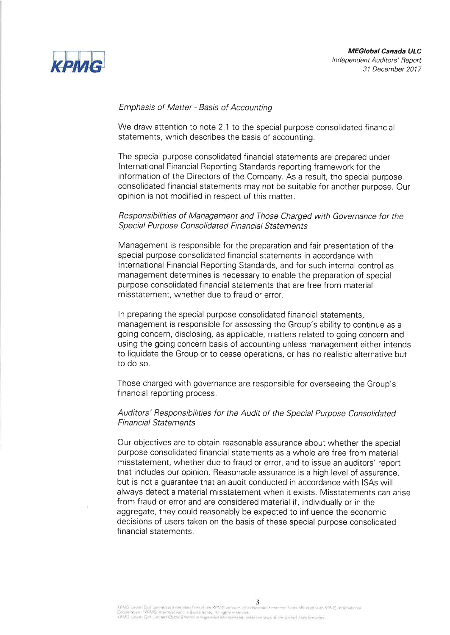

### **Emphasis of Matter - Basis of Accounting**

We draw attention to note 2.1 to the special purpose consolidated financial statements, which describes the basis of accounting.

The special purpose consolidated financial statements are prepared under International Financial Reporting Standards reporting framework for the information of the Directors of the Company. As a result, the special purpose consolidated financial statements may not be suitable for another purpose. Our opinion is not modified in respect of this matter.

### Responsibilities of Management and Those Charged with Governance for the Special Purpose Consolidated Financial Statements

Management is responsible for the preparation and fair presentation of the special purpose consolidated financial statements in accordance with International Financial Reporting Standards, and for such internal control as management determines is necessary to enable the preparation of special purpose consolidated financial statements that are free from material misstatement, whether due to fraud or error.

In preparing the special purpose consolidated financial statements. management is responsible for assessing the Group's ability to continue as a going concern, disclosing, as applicable, matters related to going concern and using the going concern basis of accounting unless management either intends to liquidate the Group or to cease operations, or has no realistic alternative but to do so.

Those charged with governance are responsible for overseeing the Group's financial reporting process.

### Auditors' Responsibilities for the Audit of the Special Purpose Consolidated **Financial Statements**

Our objectives are to obtain reasonable assurance about whether the special purpose consolidated financial statements as a whole are free from material misstatement, whether due to fraud or error, and to issue an auditors' report that includes our opinion. Reasonable assurance is a high level of assurance, but is not a guarantee that an audit conducted in accordance with ISAs will always detect a material misstatement when it exists. Misstatements can arise from fraud or error and are considered material if, individually or in the aggregate, they could reasonably be expected to influence the economic decisions of users taken on the basis of these special purpose consolidated financial statements.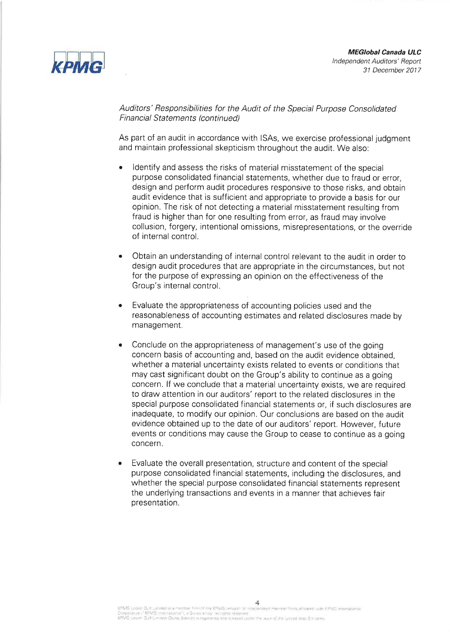



Auditors' Responsibilities for the Audit of the Special Purpose Consolidated **Financial Statements (continued)** 

As part of an audit in accordance with ISAs, we exercise professional judgment and maintain professional skepticism throughout the audit. We also:

- Identify and assess the risks of material misstatement of the special purpose consolidated financial statements, whether due to fraud or error. design and perform audit procedures responsive to those risks, and obtain audit evidence that is sufficient and appropriate to provide a basis for our opinion. The risk of not detecting a material misstatement resulting from fraud is higher than for one resulting from error, as fraud may involve collusion, forgery, intentional omissions, misrepresentations, or the override of internal control.
- Obtain an understanding of internal control relevant to the audit in order to design audit procedures that are appropriate in the circumstances, but not for the purpose of expressing an opinion on the effectiveness of the Group's internal control.
- Evaluate the appropriateness of accounting policies used and the  $\bullet$ reasonableness of accounting estimates and related disclosures made by management.
- $\bullet$ Conclude on the appropriateness of management's use of the going concern basis of accounting and, based on the audit evidence obtained, whether a material uncertainty exists related to events or conditions that may cast significant doubt on the Group's ability to continue as a going concern. If we conclude that a material uncertainty exists, we are required to draw attention in our auditors' report to the related disclosures in the special purpose consolidated financial statements or, if such disclosures are inadequate, to modify our opinion. Our conclusions are based on the audit evidence obtained up to the date of our auditors' report. However, future events or conditions may cause the Group to cease to continue as a going concern.
- Evaluate the overall presentation, structure and content of the special purpose consolidated financial statements, including the disclosures, and whether the special purpose consolidated financial statements represent the underlying transactions and events in a manner that achieves fair presentation.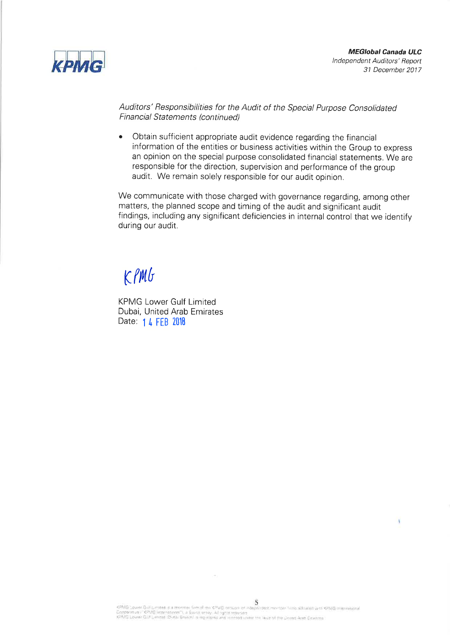

Auditors' Responsibilities for the Audit of the Special Purpose Consolidated **Financial Statements (continued)** 

 $\bullet$ Obtain sufficient appropriate audit evidence regarding the financial information of the entities or business activities within the Group to express an opinion on the special purpose consolidated financial statements. We are responsible for the direction, supervision and performance of the group audit. We remain solely responsible for our audit opinion.

We communicate with those charged with governance regarding, among other matters, the planned scope and timing of the audit and significant audit findings, including any significant deficiencies in internal control that we identify during our audit.

# $K$ *PMG*

**KPMG Lower Gulf Limited** Dubai, United Arab Emirates Date: 1 4 FEB 2018

 $\sim$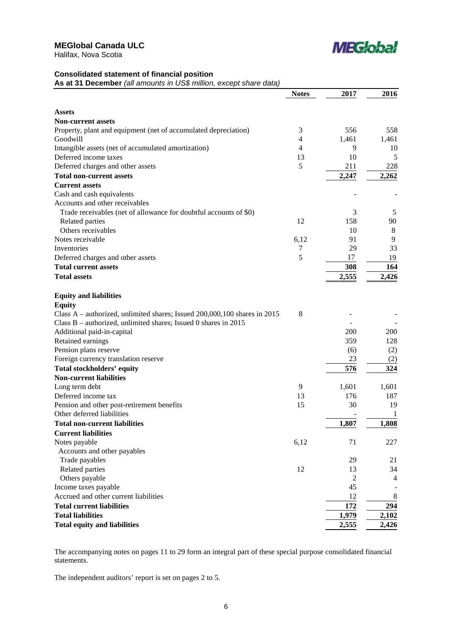

### **Consolidated statement of financial position**

**As at 31 December** *(all amounts in US\$ million, except share data)*

|                                                                                            | <b>Notes</b>   | 2017  | 2016    |
|--------------------------------------------------------------------------------------------|----------------|-------|---------|
|                                                                                            |                |       |         |
| <b>Assets</b>                                                                              |                |       |         |
| <b>Non-current assets</b>                                                                  |                |       |         |
| Property, plant and equipment (net of accumulated depreciation)                            | 3              | 556   | 558     |
| Goodwill                                                                                   | $\overline{4}$ | 1,461 | 1,461   |
| Intangible assets (net of accumulated amortization)                                        | $\overline{4}$ | 9     | 10      |
| Deferred income taxes                                                                      | 13             | 10    | 5       |
| Deferred charges and other assets                                                          | 5              | 211   | 228     |
| <b>Total non-current assets</b>                                                            |                | 2,247 | 2,262   |
| <b>Current assets</b>                                                                      |                |       |         |
| Cash and cash equivalents                                                                  |                |       |         |
| Accounts and other receivables                                                             |                |       |         |
| Trade receivables (net of allowance for doubtful accounts of \$0)                          |                | 3     | 5       |
| Related parties                                                                            | 12             | 158   | 90      |
| Others receivables                                                                         |                | 10    | $\,8\,$ |
| Notes receivable                                                                           | 6,12           | 91    | 9       |
| Inventories                                                                                | $\tau$         | 29    | 33      |
| Deferred charges and other assets                                                          | 5              | 17    | 19      |
| <b>Total current assets</b>                                                                |                | 308   | 164     |
| <b>Total assets</b>                                                                        |                | 2,555 | 2,426   |
|                                                                                            |                |       |         |
| <b>Equity and liabilities</b>                                                              |                |       |         |
| <b>Equity</b><br>Class A – authorized, unlimited shares; Issued 200,000,100 shares in 2015 | 8              |       |         |
| Class B – authorized, unlimited shares; Issued 0 shares in 2015                            |                |       |         |
|                                                                                            |                | 200   | 200     |
| Additional paid-in-capital<br>Retained earnings                                            |                | 359   | 128     |
|                                                                                            |                |       |         |
| Pension plans reserve                                                                      |                | (6)   | (2)     |
| Foreign currency translation reserve                                                       |                | 23    | (2)     |
| <b>Total stockholders' equity</b>                                                          |                | 576   | 324     |
| <b>Non-current liabilities</b>                                                             |                |       |         |
| Long term debt                                                                             | 9              | 1,601 | 1,601   |
| Deferred income tax                                                                        | 13             | 176   | 187     |
| Pension and other post-retirement benefits                                                 | 15             | 30    | 19      |
| Other deferred liabilities                                                                 |                |       | 1       |
| <b>Total non-current liabilities</b>                                                       |                | 1,807 | 1,808   |
| <b>Current liabilities</b>                                                                 |                |       |         |
| Notes payable                                                                              | 6,12           | 71    | 227     |
| Accounts and other payables                                                                |                |       |         |
| Trade payables                                                                             |                | 29    | 21      |
| Related parties                                                                            | 12             | 13    | 34      |
| Others payable                                                                             |                | 2     | 4       |
| Income taxes payable                                                                       |                | 45    |         |
| Accrued and other current liabilities                                                      |                | 12    | 8       |
| <b>Total current liabilities</b>                                                           |                | 172   | 294     |
| <b>Total liabilities</b>                                                                   |                | 1,979 | 2,102   |
| <b>Total equity and liabilities</b>                                                        |                | 2,555 | 2,426   |
|                                                                                            |                |       |         |

The accompanying notes on pages 11 to 29 form an integral part of these special purpose consolidated financial statements.

The independent auditors' report is set on pages 2 to 5.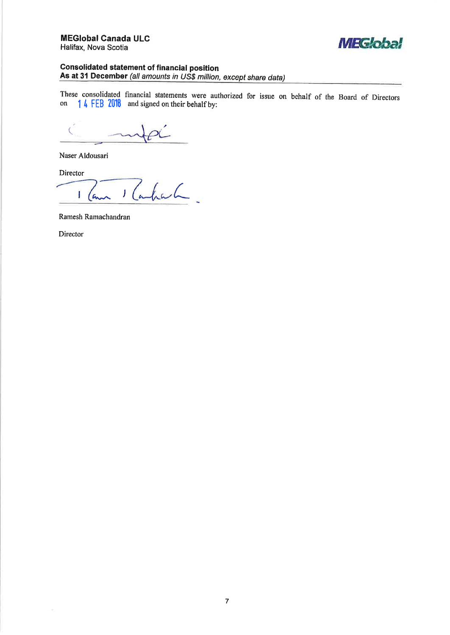

### **Consolidated statement of financial position**

As at 31 December (all amounts in US\$ million, except share data)

These consolidated financial statements were authorized for issue on behalf of the Board of Directors 14 FEB 2018 and signed on their behalf by: on

 $\overline{\mathbf{C}}$ 

Naser Aldousari

Director

Rahah. I ( ۹.

Ramesh Ramachandran

Director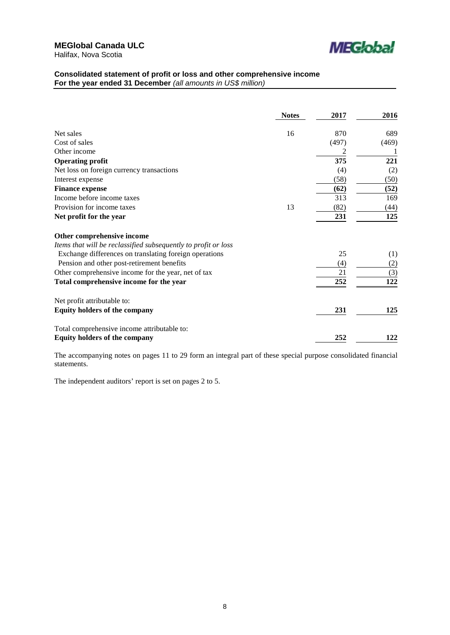

## **Consolidated statement of profit or loss and other comprehensive income**

**For the year ended 31 December** *(all amounts in US\$ million)*

|                                                                | <b>Notes</b> | 2017  | 2016  |
|----------------------------------------------------------------|--------------|-------|-------|
| Net sales                                                      | 16           | 870   | 689   |
| Cost of sales                                                  |              | (497) | (469) |
| Other income                                                   |              | 2     |       |
| <b>Operating profit</b>                                        |              | 375   | 221   |
| Net loss on foreign currency transactions                      |              | (4)   | (2)   |
| Interest expense                                               |              | (58)  | (50)  |
| <b>Finance expense</b>                                         |              | (62)  | (52)  |
| Income before income taxes                                     |              | 313   | 169   |
| Provision for income taxes                                     | 13           | (82)  | (44)  |
| Net profit for the year                                        |              | 231   | 125   |
| Other comprehensive income                                     |              |       |       |
| Items that will be reclassified subsequently to profit or loss |              |       |       |
| Exchange differences on translating foreign operations         |              | 25    | (1)   |
| Pension and other post-retirement benefits                     |              | (4)   | (2)   |
| Other comprehensive income for the year, net of tax            |              | 21    | (3)   |
| Total comprehensive income for the year                        |              | 252   | 122   |
| Net profit attributable to:                                    |              |       |       |
| <b>Equity holders of the company</b>                           |              | 231   | 125   |
| Total comprehensive income attributable to:                    |              |       |       |
| <b>Equity holders of the company</b>                           |              | 252   | 122   |

The accompanying notes on pages 11 to 29 form an integral part of these special purpose consolidated financial statements.

The independent auditors' report is set on pages 2 to 5.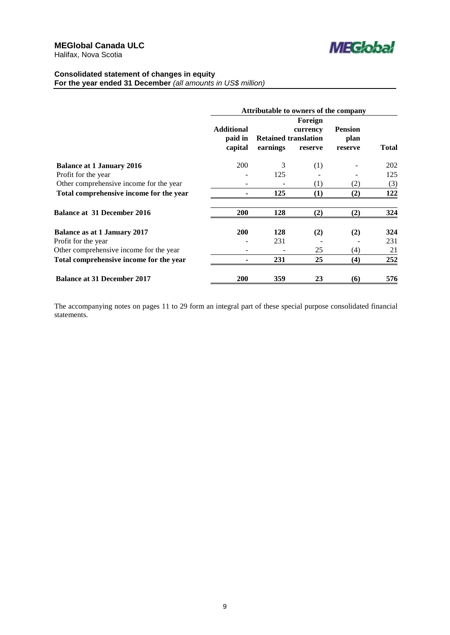

### **Consolidated statement of changes in equity**

**For the year ended 31 December** *(all amounts in US\$ million)*

|                                         |                                         | Attributable to owners of the company   |                                |                                   |              |  |
|-----------------------------------------|-----------------------------------------|-----------------------------------------|--------------------------------|-----------------------------------|--------------|--|
|                                         | <b>Additional</b><br>paid in<br>capital | <b>Retained translation</b><br>earnings | Foreign<br>currency<br>reserve | <b>Pension</b><br>plan<br>reserve | <b>Total</b> |  |
|                                         |                                         |                                         |                                |                                   |              |  |
| <b>Balance at 1 January 2016</b>        | 200                                     | 3                                       | (1)                            |                                   | 202          |  |
| Profit for the year                     |                                         | 125                                     |                                |                                   | 125          |  |
| Other comprehensive income for the year |                                         |                                         | (1)                            | (2)                               | (3)          |  |
| Total comprehensive income for the year |                                         | 125                                     | (1)                            | (2)                               | 122          |  |
| <b>Balance at 31 December 2016</b>      | <b>200</b>                              | 128                                     | (2)                            | (2)                               | 324          |  |
| <b>Balance as at 1 January 2017</b>     | <b>200</b>                              | 128                                     | (2)                            | (2)                               | 324          |  |
| Profit for the year                     |                                         | 231                                     |                                |                                   | 231          |  |
| Other comprehensive income for the year |                                         |                                         | 25                             | (4)                               | 21           |  |
| Total comprehensive income for the year |                                         | 231                                     | 25                             | (4)                               | 252          |  |
| <b>Balance at 31 December 2017</b>      | 200                                     | 359                                     | 23                             | (6)                               | 576          |  |

The accompanying notes on pages 11 to 29 form an integral part of these special purpose consolidated financial statements.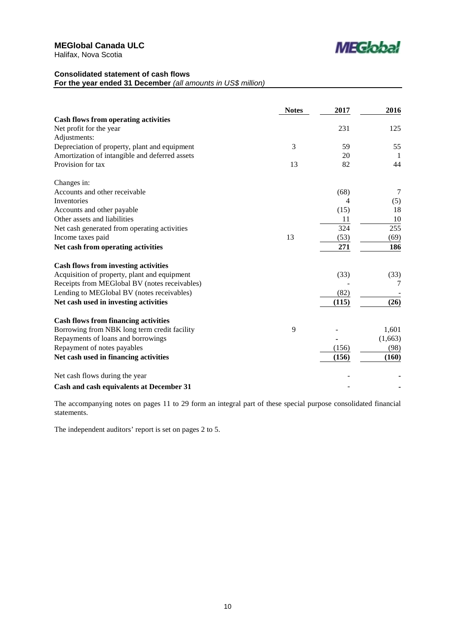

## **Consolidated statement of cash flows**

**For the year ended 31 December** *(all amounts in US\$ million)*

|                                                | <b>Notes</b> | 2017  | 2016    |
|------------------------------------------------|--------------|-------|---------|
| <b>Cash flows from operating activities</b>    |              |       |         |
| Net profit for the year                        |              | 231   | 125     |
| Adjustments:                                   |              |       |         |
| Depreciation of property, plant and equipment  | 3            | 59    | 55      |
| Amortization of intangible and deferred assets |              | 20    | -1      |
| Provision for tax                              | 13           | 82    | 44      |
| Changes in:                                    |              |       |         |
| Accounts and other receivable                  |              | (68)  | 7       |
| Inventories                                    |              | 4     | (5)     |
| Accounts and other payable                     |              | (15)  | 18      |
| Other assets and liabilities                   |              | 11    | 10      |
| Net cash generated from operating activities   |              | 324   | 255     |
| Income taxes paid                              | 13           | (53)  | (69)    |
| Net cash from operating activities             |              | 271   | 186     |
| <b>Cash flows from investing activities</b>    |              |       |         |
| Acquisition of property, plant and equipment   |              | (33)  | (33)    |
| Receipts from MEGlobal BV (notes receivables)  |              |       | 7       |
| Lending to MEGlobal BV (notes receivables)     |              | (82)  |         |
| Net cash used in investing activities          |              | (115) | (26)    |
| <b>Cash flows from financing activities</b>    |              |       |         |
| Borrowing from NBK long term credit facility   | 9            |       | 1,601   |
| Repayments of loans and borrowings             |              |       | (1,663) |
| Repayment of notes payables                    |              | (156) | (98)    |
| Net cash used in financing activities          |              | (156) | (160)   |
| Net cash flows during the year                 |              |       |         |
| Cash and cash equivalents at December 31       |              |       |         |

The accompanying notes on pages 11 to 29 form an integral part of these special purpose consolidated financial statements.

The independent auditors' report is set on pages 2 to 5.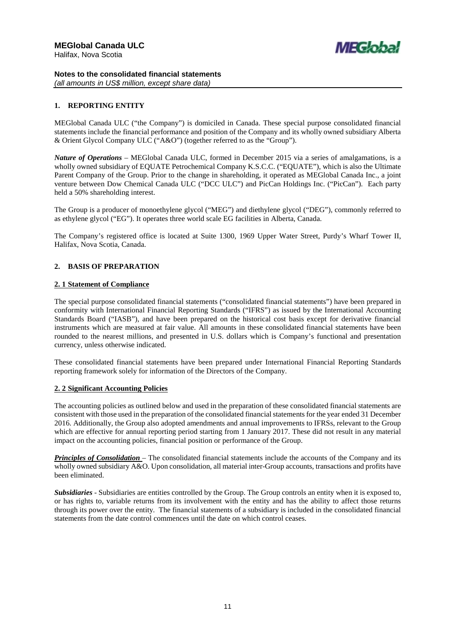

### **Notes to the consolidated financial statements**

*(all amounts in US\$ million, except share data)*

### **1. REPORTING ENTITY**

MEGlobal Canada ULC ("the Company") is domiciled in Canada. These special purpose consolidated financial statements include the financial performance and position of the Company and its wholly owned subsidiary Alberta & Orient Glycol Company ULC ("A&O") (together referred to as the "Group").

*Nature of Operations* – MEGlobal Canada ULC, formed in December 2015 via a series of amalgamations, is a wholly owned subsidiary of EQUATE Petrochemical Company K.S.C.C. ("EQUATE"), which is also the Ultimate Parent Company of the Group. Prior to the change in shareholding, it operated as MEGlobal Canada Inc., a joint venture between Dow Chemical Canada ULC ("DCC ULC") and PicCan Holdings Inc. ("PicCan"). Each party held a 50% shareholding interest.

The Group is a producer of monoethylene glycol ("MEG") and diethylene glycol ("DEG"), commonly referred to as ethylene glycol ("EG"). It operates three world scale EG facilities in Alberta, Canada.

The Company's registered office is located at Suite 1300, 1969 Upper Water Street, Purdy's Wharf Tower II, Halifax, Nova Scotia, Canada.

### **2. BASIS OF PREPARATION**

### **2. 1 Statement of Compliance**

The special purpose consolidated financial statements ("consolidated financial statements") have been prepared in conformity with International Financial Reporting Standards ("IFRS") as issued by the International Accounting Standards Board ("IASB"), and have been prepared on the historical cost basis except for derivative financial instruments which are measured at fair value. All amounts in these consolidated financial statements have been rounded to the nearest millions, and presented in U.S. dollars which is Company's functional and presentation currency, unless otherwise indicated.

These consolidated financial statements have been prepared under International Financial Reporting Standards reporting framework solely for information of the Directors of the Company.

### **2. 2 Significant Accounting Policies**

The accounting policies as outlined below and used in the preparation of these consolidated financial statements are consistent with those used in the preparation of the consolidated financial statements for the year ended 31 December 2016. Additionally, the Group also adopted amendments and annual improvements to IFRSs, relevant to the Group which are effective for annual reporting period starting from 1 January 2017. These did not result in any material impact on the accounting policies, financial position or performance of the Group.

*Principles of Consolidation* – The consolidated financial statements include the accounts of the Company and its wholly owned subsidiary A&O. Upon consolidation, all material inter-Group accounts, transactions and profits have been eliminated.

*Subsidiaries* - Subsidiaries are entities controlled by the Group. The Group controls an entity when it is exposed to, or has rights to, variable returns from its involvement with the entity and has the ability to affect those returns through its power over the entity. The financial statements of a subsidiary is included in the consolidated financial statements from the date control commences until the date on which control ceases.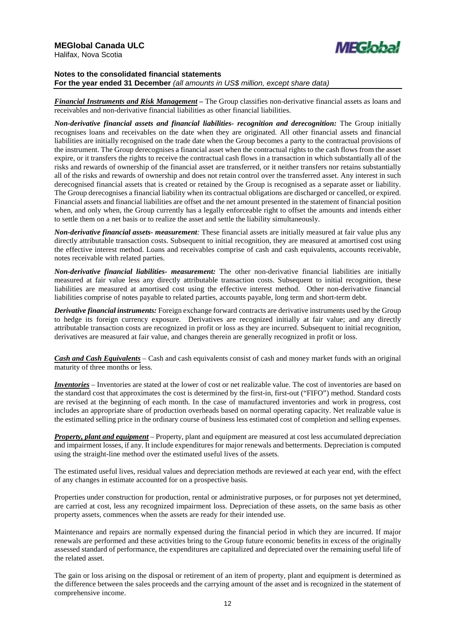

### **Notes to the consolidated financial statements For the year ended 31 December** *(all amounts in US\$ million, except share data)*

*Financial Instruments and Risk Management –* The Group classifies non-derivative financial assets as loans and receivables and non-derivative financial liabilities as other financial liabilities.

*Non-derivative financial assets and financial liabilities- recognition and derecognition:* The Group initially recognises loans and receivables on the date when they are originated. All other financial assets and financial liabilities are initially recognised on the trade date when the Group becomes a party to the contractual provisions of the instrument. The Group derecognises a financial asset when the contractual rights to the cash flows from the asset expire, or it transfers the rights to receive the contractual cash flows in a transaction in which substantially all of the risks and rewards of ownership of the financial asset are transferred, or it neither transfers nor retains substantially all of the risks and rewards of ownership and does not retain control over the transferred asset. Any interest in such derecognised financial assets that is created or retained by the Group is recognised as a separate asset or liability. The Group derecognises a financial liability when its contractual obligations are discharged or cancelled, or expired. Financial assets and financial liabilities are offset and the net amount presented in the statement of financial position when, and only when, the Group currently has a legally enforceable right to offset the amounts and intends either to settle them on a net basis or to realize the asset and settle the liability simultaneously.

*Non-derivative financial assets- measurement:* These financial assets are initially measured at fair value plus any directly attributable transaction costs. Subsequent to initial recognition, they are measured at amortised cost using the effective interest method. Loans and receivables comprise of cash and cash equivalents, accounts receivable, notes receivable with related parties.

*Non-derivative financial liabilities- measurement:* The other non-derivative financial liabilities are initially measured at fair value less any directly attributable transaction costs. Subsequent to initial recognition, these liabilities are measured at amortised cost using the effective interest method. Other non-derivative financial liabilities comprise of notes payable to related parties, accounts payable, long term and short-term debt.

*Derivative financial instruments:* Foreign exchange forward contracts are derivative instruments used by the Group to hedge its foreign currency exposure. Derivatives are recognized initially at fair value; and any directly attributable transaction costs are recognized in profit or loss as they are incurred. Subsequent to initial recognition, derivatives are measured at fair value, and changes therein are generally recognized in profit or loss.

*Cash and Cash Equivalents* – Cash and cash equivalents consist of cash and money market funds with an original maturity of three months or less.

*Inventories* – Inventories are stated at the lower of cost or net realizable value. The cost of inventories are based on the standard cost that approximates the cost is determined by the first-in, first-out ("FIFO") method. Standard costs are revised at the beginning of each month. In the case of manufactured inventories and work in progress, cost includes an appropriate share of production overheads based on normal operating capacity. Net realizable value is the estimated selling price in the ordinary course of business less estimated cost of completion and selling expenses.

*Property, plant and equipment* – Property, plant and equipment are measured at cost less accumulated depreciation and impairment losses, if any. It include expenditures for major renewals and betterments. Depreciation is computed using the straight-line method over the estimated useful lives of the assets.

The estimated useful lives, residual values and depreciation methods are reviewed at each year end, with the effect of any changes in estimate accounted for on a prospective basis.

Properties under construction for production, rental or administrative purposes, or for purposes not yet determined, are carried at cost, less any recognized impairment loss. Depreciation of these assets, on the same basis as other property assets, commences when the assets are ready for their intended use.

Maintenance and repairs are normally expensed during the financial period in which they are incurred. If major renewals are performed and these activities bring to the Group future economic benefits in excess of the originally assessed standard of performance, the expenditures are capitalized and depreciated over the remaining useful life of the related asset.

The gain or loss arising on the disposal or retirement of an item of property, plant and equipment is determined as the difference between the sales proceeds and the carrying amount of the asset and is recognized in the statement of comprehensive income.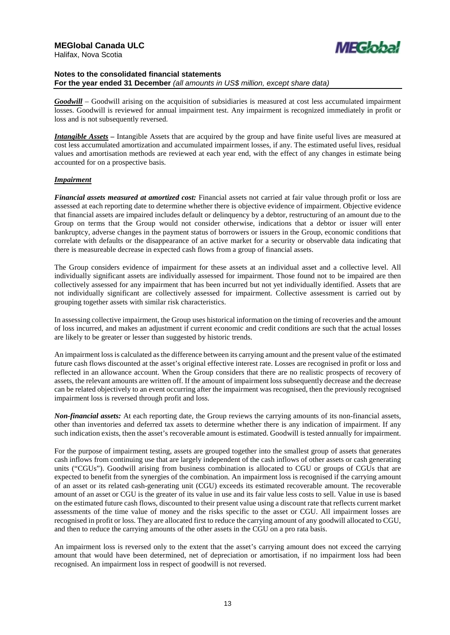

*Goodwill* – Goodwill arising on the acquisition of subsidiaries is measured at cost less accumulated impairment losses. Goodwill is reviewed for annual impairment test. Any impairment is recognized immediately in profit or loss and is not subsequently reversed.

*Intangible Assets –* Intangible Assets that are acquired by the group and have finite useful lives are measured at cost less accumulated amortization and accumulated impairment losses, if any. The estimated useful lives, residual values and amortisation methods are reviewed at each year end, with the effect of any changes in estimate being accounted for on a prospective basis.

### *Impairment*

*Financial assets measured at amortized cost:* Financial assets not carried at fair value through profit or loss are assessed at each reporting date to determine whether there is objective evidence of impairment. Objective evidence that financial assets are impaired includes default or delinquency by a debtor, restructuring of an amount due to the Group on terms that the Group would not consider otherwise, indications that a debtor or issuer will enter bankruptcy, adverse changes in the payment status of borrowers or issuers in the Group, economic conditions that correlate with defaults or the disappearance of an active market for a security or observable data indicating that there is measureable decrease in expected cash flows from a group of financial assets.

The Group considers evidence of impairment for these assets at an individual asset and a collective level. All individually significant assets are individually assessed for impairment. Those found not to be impaired are then collectively assessed for any impairment that has been incurred but not yet individually identified. Assets that are not individually significant are collectively assessed for impairment. Collective assessment is carried out by grouping together assets with similar risk characteristics.

In assessing collective impairment, the Group uses historical information on the timing of recoveries and the amount of loss incurred, and makes an adjustment if current economic and credit conditions are such that the actual losses are likely to be greater or lesser than suggested by historic trends.

An impairment loss is calculated as the difference between its carrying amount and the present value of the estimated future cash flows discounted at the asset's original effective interest rate. Losses are recognised in profit or loss and reflected in an allowance account. When the Group considers that there are no realistic prospects of recovery of assets, the relevant amounts are written off. If the amount of impairment loss subsequently decrease and the decrease can be related objectively to an event occurring after the impairment was recognised, then the previously recognised impairment loss is reversed through profit and loss.

*Non-financial assets:* At each reporting date, the Group reviews the carrying amounts of its non-financial assets, other than inventories and deferred tax assets to determine whether there is any indication of impairment. If any such indication exists, then the asset's recoverable amount is estimated. Goodwill is tested annually for impairment.

For the purpose of impairment testing, assets are grouped together into the smallest group of assets that generates cash inflows from continuing use that are largely independent of the cash inflows of other assets or cash generating units ("CGUs"). Goodwill arising from business combination is allocated to CGU or groups of CGUs that are expected to benefit from the synergies of the combination. An impairment loss is recognised if the carrying amount of an asset or its related cash-generating unit (CGU) exceeds its estimated recoverable amount. The recoverable amount of an asset or CGU is the greater of its value in use and its fair value less costs to sell. Value in use is based on the estimated future cash flows, discounted to their present value using a discount rate that reflects current market assessments of the time value of money and the risks specific to the asset or CGU. All impairment losses are recognised in profit or loss. They are allocated first to reduce the carrying amount of any goodwill allocated to CGU, and then to reduce the carrying amounts of the other assets in the CGU on a pro rata basis.

An impairment loss is reversed only to the extent that the asset's carrying amount does not exceed the carrying amount that would have been determined, net of depreciation or amortisation, if no impairment loss had been recognised. An impairment loss in respect of goodwill is not reversed.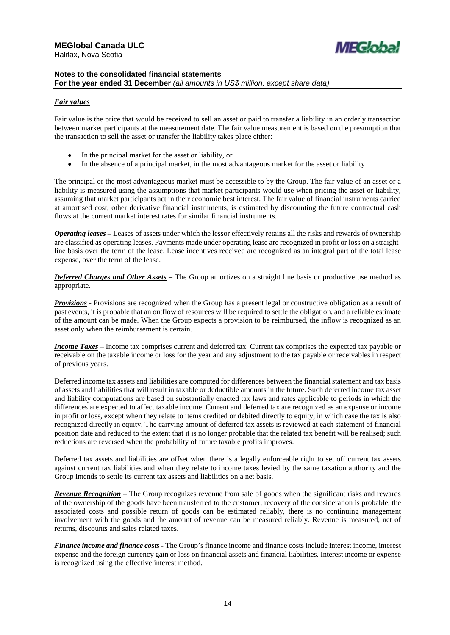

### *Fair values*

Fair value is the price that would be received to sell an asset or paid to transfer a liability in an orderly transaction between market participants at the measurement date. The fair value measurement is based on the presumption that the transaction to sell the asset or transfer the liability takes place either:

- In the principal market for the asset or liability, or
- In the absence of a principal market, in the most advantageous market for the asset or liability

The principal or the most advantageous market must be accessible to by the Group. The fair value of an asset or a liability is measured using the assumptions that market participants would use when pricing the asset or liability, assuming that market participants act in their economic best interest. The fair value of financial instruments carried at amortised cost, other derivative financial instruments, is estimated by discounting the future contractual cash flows at the current market interest rates for similar financial instruments.

*Operating leases –* Leases of assets under which the lessor effectively retains all the risks and rewards of ownership are classified as operating leases. Payments made under operating lease are recognized in profit or loss on a straightline basis over the term of the lease. Lease incentives received are recognized as an integral part of the total lease expense, over the term of the lease.

*Deferred Charges and Other Assets –* The Group amortizes on a straight line basis or productive use method as appropriate.

*Provisions* - Provisions are recognized when the Group has a present legal or constructive obligation as a result of past events, it is probable that an outflow of resources will be required to settle the obligation, and a reliable estimate of the amount can be made. When the Group expects a provision to be reimbursed, the inflow is recognized as an asset only when the reimbursement is certain.

*Income Taxes* – Income tax comprises current and deferred tax. Current tax comprises the expected tax payable or receivable on the taxable income or loss for the year and any adjustment to the tax payable or receivables in respect of previous years.

Deferred income tax assets and liabilities are computed for differences between the financial statement and tax basis of assets and liabilities that will result in taxable or deductible amounts in the future. Such deferred income tax asset and liability computations are based on substantially enacted tax laws and rates applicable to periods in which the differences are expected to affect taxable income. Current and deferred tax are recognized as an expense or income in profit or loss, except when they relate to items credited or debited directly to equity, in which case the tax is also recognized directly in equity. The carrying amount of deferred tax assets is reviewed at each statement of financial position date and reduced to the extent that it is no longer probable that the related tax benefit will be realised; such reductions are reversed when the probability of future taxable profits improves.

Deferred tax assets and liabilities are offset when there is a legally enforceable right to set off current tax assets against current tax liabilities and when they relate to income taxes levied by the same taxation authority and the Group intends to settle its current tax assets and liabilities on a net basis.

*Revenue Recognition* – The Group recognizes revenue from sale of goods when the significant risks and rewards of the ownership of the goods have been transferred to the customer, recovery of the consideration is probable, the associated costs and possible return of goods can be estimated reliably, there is no continuing management involvement with the goods and the amount of revenue can be measured reliably. Revenue is measured, net of returns, discounts and sales related taxes.

*Finance income and finance costs -* The Group's finance income and finance costs include interest income, interest expense and the foreign currency gain or loss on financial assets and financial liabilities. Interest income or expense is recognized using the effective interest method.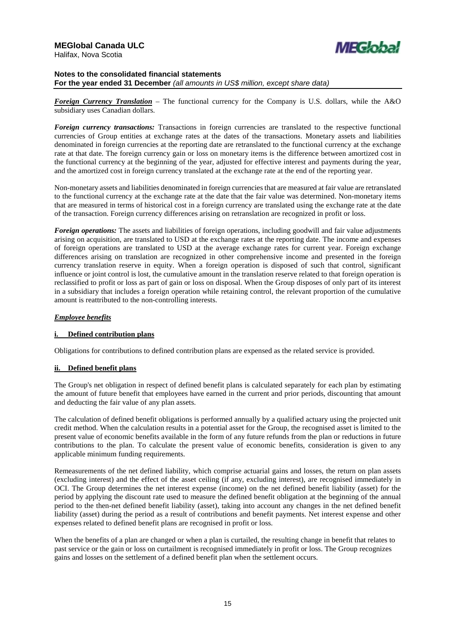

*Foreign Currency Translation* – The functional currency for the Company is U.S. dollars, while the A&O subsidiary uses Canadian dollars.

*Foreign currency transactions:* Transactions in foreign currencies are translated to the respective functional currencies of Group entities at exchange rates at the dates of the transactions. Monetary assets and liabilities denominated in foreign currencies at the reporting date are retranslated to the functional currency at the exchange rate at that date. The foreign currency gain or loss on monetary items is the difference between amortized cost in the functional currency at the beginning of the year, adjusted for effective interest and payments during the year, and the amortized cost in foreign currency translated at the exchange rate at the end of the reporting year.

Non-monetary assets and liabilities denominated in foreign currencies that are measured at fair value are retranslated to the functional currency at the exchange rate at the date that the fair value was determined. Non-monetary items that are measured in terms of historical cost in a foreign currency are translated using the exchange rate at the date of the transaction. Foreign currency differences arising on retranslation are recognized in profit or loss.

*Foreign operations:* The assets and liabilities of foreign operations, including goodwill and fair value adjustments arising on acquisition, are translated to USD at the exchange rates at the reporting date. The income and expenses of foreign operations are translated to USD at the average exchange rates for current year. Foreign exchange differences arising on translation are recognized in other comprehensive income and presented in the foreign currency translation reserve in equity. When a foreign operation is disposed of such that control, significant influence or joint control is lost, the cumulative amount in the translation reserve related to that foreign operation is reclassified to profit or loss as part of gain or loss on disposal. When the Group disposes of only part of its interest in a subsidiary that includes a foreign operation while retaining control, the relevant proportion of the cumulative amount is reattributed to the non-controlling interests.

### *Employee benefits*

### **i. Defined contribution plans**

Obligations for contributions to defined contribution plans are expensed as the related service is provided.

#### **ii. Defined benefit plans**

The Group's net obligation in respect of defined benefit plans is calculated separately for each plan by estimating the amount of future benefit that employees have earned in the current and prior periods, discounting that amount and deducting the fair value of any plan assets.

The calculation of defined benefit obligations is performed annually by a qualified actuary using the projected unit credit method. When the calculation results in a potential asset for the Group, the recognised asset is limited to the present value of economic benefits available in the form of any future refunds from the plan or reductions in future contributions to the plan. To calculate the present value of economic benefits, consideration is given to any applicable minimum funding requirements.

Remeasurements of the net defined liability, which comprise actuarial gains and losses, the return on plan assets (excluding interest) and the effect of the asset ceiling (if any, excluding interest), are recognised immediately in OCI. The Group determines the net interest expense (income) on the net defined benefit liability (asset) for the period by applying the discount rate used to measure the defined benefit obligation at the beginning of the annual period to the then-net defined benefit liability (asset), taking into account any changes in the net defined benefit liability (asset) during the period as a result of contributions and benefit payments. Net interest expense and other expenses related to defined benefit plans are recognised in profit or loss.

When the benefits of a plan are changed or when a plan is curtailed, the resulting change in benefit that relates to past service or the gain or loss on curtailment is recognised immediately in profit or loss. The Group recognizes gains and losses on the settlement of a defined benefit plan when the settlement occurs.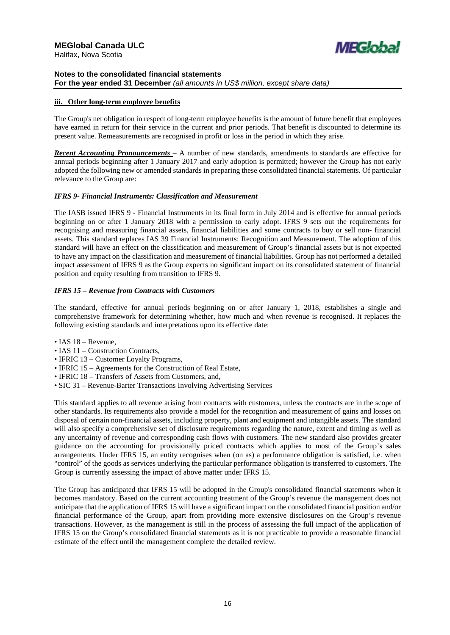

### **iii. Other long-term employee benefits**

The Group's net obligation in respect of long-term employee benefits is the amount of future benefit that employees have earned in return for their service in the current and prior periods. That benefit is discounted to determine its present value. Remeasurements are recognised in profit or loss in the period in which they arise.

*Recent Accounting Pronouncements* – A number of new standards, amendments to standards are effective for annual periods beginning after 1 January 2017 and early adoption is permitted; however the Group has not early adopted the following new or amended standards in preparing these consolidated financial statements. Of particular relevance to the Group are:

### *IFRS 9- Financial Instruments: Classification and Measurement*

The IASB issued IFRS 9 - Financial Instruments in its final form in July 2014 and is effective for annual periods beginning on or after 1 January 2018 with a permission to early adopt. IFRS 9 sets out the requirements for recognising and measuring financial assets, financial liabilities and some contracts to buy or sell non- financial assets. This standard replaces IAS 39 Financial Instruments: Recognition and Measurement. The adoption of this standard will have an effect on the classification and measurement of Group's financial assets but is not expected to have any impact on the classification and measurement of financial liabilities. Group has not performed a detailed impact assessment of IFRS 9 as the Group expects no significant impact on its consolidated statement of financial position and equity resulting from transition to IFRS 9.

### *IFRS 15 – Revenue from Contracts with Customers*

The standard, effective for annual periods beginning on or after January 1, 2018, establishes a single and comprehensive framework for determining whether, how much and when revenue is recognised. It replaces the following existing standards and interpretations upon its effective date:

- IAS 18 Revenue,
- IAS 11 Construction Contracts,
- IFRIC 13 Customer Loyalty Programs,
- IFRIC 15 Agreements for the Construction of Real Estate,
- IFRIC 18 Transfers of Assets from Customers, and,
- SIC 31 Revenue-Barter Transactions Involving Advertising Services

This standard applies to all revenue arising from contracts with customers, unless the contracts are in the scope of other standards. Its requirements also provide a model for the recognition and measurement of gains and losses on disposal of certain non-financial assets, including property, plant and equipment and intangible assets. The standard will also specify a comprehensive set of disclosure requirements regarding the nature, extent and timing as well as any uncertainty of revenue and corresponding cash flows with customers. The new standard also provides greater guidance on the accounting for provisionally priced contracts which applies to most of the Group's sales arrangements. Under IFRS 15, an entity recognises when (on as) a performance obligation is satisfied, i.e. when "control" of the goods as services underlying the particular performance obligation is transferred to customers. The Group is currently assessing the impact of above matter under IFRS 15.

The Group has anticipated that IFRS 15 will be adopted in the Group's consolidated financial statements when it becomes mandatory. Based on the current accounting treatment of the Group's revenue the management does not anticipate that the application of IFRS 15 will have a significant impact on the consolidated financial position and/or financial performance of the Group, apart from providing more extensive disclosures on the Group's revenue transactions. However, as the management is still in the process of assessing the full impact of the application of IFRS 15 on the Group's consolidated financial statements as it is not practicable to provide a reasonable financial estimate of the effect until the management complete the detailed review.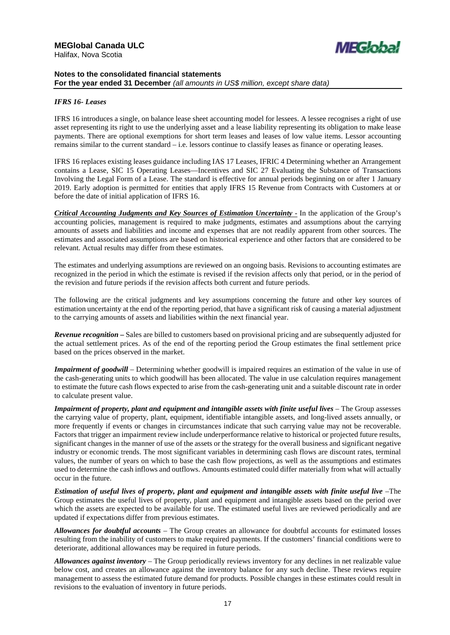

### *IFRS 16- Leases*

IFRS 16 introduces a single, on balance lease sheet accounting model for lessees. A lessee recognises a right of use asset representing its right to use the underlying asset and a lease liability representing its obligation to make lease payments. There are optional exemptions for short term leases and leases of low value items. Lessor accounting remains similar to the current standard – i.e. lessors continue to classify leases as finance or operating leases.

IFRS 16 replaces existing leases guidance including IAS 17 Leases, IFRIC 4 Determining whether an Arrangement contains a Lease, SIC 15 Operating Leases—Incentives and SIC 27 Evaluating the Substance of Transactions Involving the Legal Form of a Lease. The standard is effective for annual periods beginning on or after 1 January 2019. Early adoption is permitted for entities that apply IFRS 15 Revenue from Contracts with Customers at or before the date of initial application of IFRS 16.

*Critical Accounting Judgments and Key Sources of Estimation Uncertainty - In the application of the Group's* accounting policies, management is required to make judgments, estimates and assumptions about the carrying amounts of assets and liabilities and income and expenses that are not readily apparent from other sources. The estimates and associated assumptions are based on historical experience and other factors that are considered to be relevant. Actual results may differ from these estimates.

The estimates and underlying assumptions are reviewed on an ongoing basis. Revisions to accounting estimates are recognized in the period in which the estimate is revised if the revision affects only that period, or in the period of the revision and future periods if the revision affects both current and future periods.

The following are the critical judgments and key assumptions concerning the future and other key sources of estimation uncertainty at the end of the reporting period, that have a significant risk of causing a material adjustment to the carrying amounts of assets and liabilities within the next financial year.

*Revenue recognition* **–** Sales are billed to customers based on provisional pricing and are subsequently adjusted for the actual settlement prices. As of the end of the reporting period the Group estimates the final settlement price based on the prices observed in the market.

*Impairment of goodwill* – Determining whether goodwill is impaired requires an estimation of the value in use of the cash-generating units to which goodwill has been allocated. The value in use calculation requires management to estimate the future cash flows expected to arise from the cash-generating unit and a suitable discount rate in order to calculate present value.

*Impairment of property, plant and equipment and intangible assets with finite useful lives* – The Group assesses the carrying value of property, plant, equipment, identifiable intangible assets, and long-lived assets annually, or more frequently if events or changes in circumstances indicate that such carrying value may not be recoverable. Factors that trigger an impairment review include underperformance relative to historical or projected future results, significant changes in the manner of use of the assets or the strategy for the overall business and significant negative industry or economic trends. The most significant variables in determining cash flows are discount rates, terminal values, the number of years on which to base the cash flow projections, as well as the assumptions and estimates used to determine the cash inflows and outflows. Amounts estimated could differ materially from what will actually occur in the future.

*Estimation of useful lives of property, plant and equipment and intangible assets with finite useful live* –The Group estimates the useful lives of property, plant and equipment and intangible assets based on the period over which the assets are expected to be available for use. The estimated useful lives are reviewed periodically and are updated if expectations differ from previous estimates.

*Allowances for doubtful accounts* – The Group creates an allowance for doubtful accounts for estimated losses resulting from the inability of customers to make required payments. If the customers' financial conditions were to deteriorate, additional allowances may be required in future periods.

*Allowances against inventory* – The Group periodically reviews inventory for any declines in net realizable value below cost, and creates an allowance against the inventory balance for any such decline. These reviews require management to assess the estimated future demand for products. Possible changes in these estimates could result in revisions to the evaluation of inventory in future periods.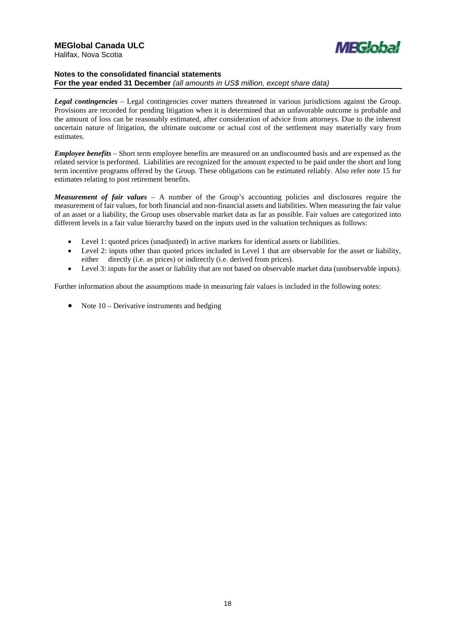

*Legal contingencies* – Legal contingencies cover matters threatened in various jurisdictions against the Group. Provisions are recorded for pending litigation when it is determined that an unfavorable outcome is probable and the amount of loss can be reasonably estimated, after consideration of advice from attorneys. Due to the inherent uncertain nature of litigation, the ultimate outcome or actual cost of the settlement may materially vary from estimates.

*Employee benefits* – Short term employee benefits are measured on an undiscounted basis and are expensed as the related service is performed. Liabilities are recognized for the amount expected to be paid under the short and long term incentive programs offered by the Group. These obligations can be estimated reliably. Also refer note 15 for estimates relating to post retirement benefits.

*Measurement of fair values* – A number of the Group's accounting policies and disclosures require the measurement of fair values, for both financial and non-financial assets and liabilities. When measuring the fair value of an asset or a liability, the Group uses observable market data as far as possible. Fair values are categorized into different levels in a fair value hierarchy based on the inputs used in the valuation techniques as follows:

- Level 1: quoted prices (unadjusted) in active markets for identical assets or liabilities.
- Level 2: inputs other than quoted prices included in Level 1 that are observable for the asset or liability, either directly (i.e. as prices) or indirectly (i.e. derived from prices).
- Level 3: inputs for the asset or liability that are not based on observable market data (unobservable inputs).

Further information about the assumptions made in measuring fair values is included in the following notes:

• Note  $10$  – Derivative instruments and hedging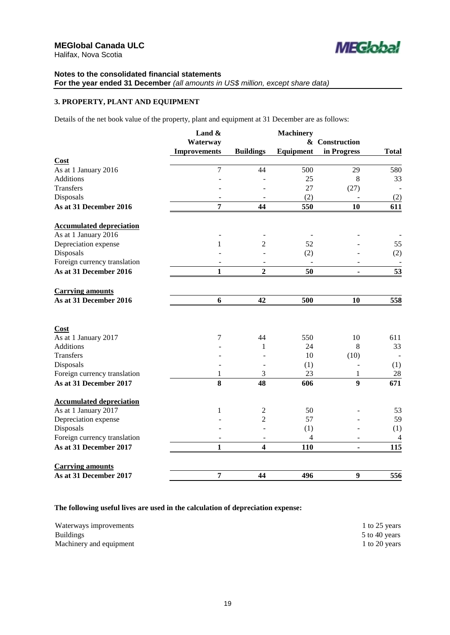

### **Notes to the consolidated financial statements For the year ended 31 December** *(all amounts in US\$ million, except share data)*

### **3. PROPERTY, PLANT AND EQUIPMENT**

Details of the net book value of the property, plant and equipment at 31 December are as follows:

|                                     | Land $\&$           |                  | <b>Machinery</b> |                  |                |
|-------------------------------------|---------------------|------------------|------------------|------------------|----------------|
|                                     | Waterway            |                  |                  | & Construction   |                |
|                                     | <b>Improvements</b> | <b>Buildings</b> | Equipment        | in Progress      | <b>Total</b>   |
| Cost                                |                     |                  |                  |                  |                |
| As at 1 January 2016                | 7                   | 44               | 500              | 29               | 580            |
| <b>Additions</b>                    |                     |                  | 25               | 8                | 33             |
| <b>Transfers</b>                    |                     |                  | 27               | (27)             |                |
| Disposals                           |                     |                  | (2)              |                  | (2)            |
| As at 31 December 2016              | 7                   | 44               | 550              | 10               | 611            |
| <b>Accumulated depreciation</b>     |                     |                  |                  |                  |                |
| As at 1 January 2016                |                     |                  |                  |                  |                |
| Depreciation expense                | 1                   | $\overline{c}$   | 52               |                  | 55             |
| Disposals                           |                     |                  | (2)              |                  | (2)            |
| Foreign currency translation        |                     |                  |                  |                  |                |
| As at 31 December 2016              | $\mathbf{1}$        | $\overline{2}$   | 50               |                  | 53             |
| <b>Carrying amounts</b>             |                     |                  |                  |                  |                |
| As at 31 December 2016              | 6                   | 42               | 500              | 10               | 558            |
|                                     |                     |                  |                  |                  |                |
| <b>Cost</b><br>As at 1 January 2017 | 7                   | 44               | 550              | 10               | 611            |
| <b>Additions</b>                    |                     | 1                | 24               | 8                | 33             |
| <b>Transfers</b>                    |                     |                  | 10               | (10)             |                |
| Disposals                           |                     |                  | (1)              |                  | (1)            |
| Foreign currency translation        | 1                   | 3                | 23               | 1                | $28\,$         |
| As at 31 December 2017              | 8                   | 48               | 606              | $\boldsymbol{9}$ | 671            |
| <b>Accumulated depreciation</b>     |                     |                  |                  |                  |                |
| As at 1 January 2017                | $\mathbf{1}$        | $\overline{c}$   | 50               |                  | 53             |
| Depreciation expense                |                     | $\overline{c}$   | 57               |                  | 59             |
| Disposals                           |                     |                  | (1)              |                  | (1)            |
| Foreign currency translation        |                     |                  | 4                |                  | $\overline{4}$ |
| As at 31 December 2017              | $\mathbf{1}$        | 4                | 110              |                  | 115            |
| <b>Carrying amounts</b>             |                     |                  |                  |                  |                |
| As at 31 December 2017              | 7                   | 44               | 496              | 9                | 556            |

### **The following useful lives are used in the calculation of depreciation expense:**

| Waterways improvements  | 1 to 25 years |
|-------------------------|---------------|
| <b>Buildings</b>        | 5 to 40 years |
| Machinery and equipment | 1 to 20 years |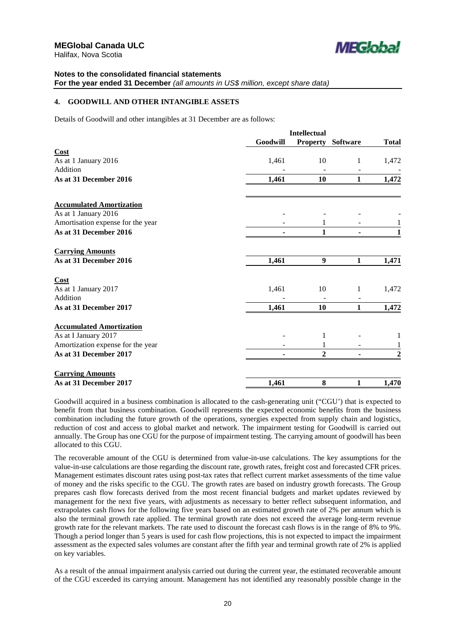

# **Notes to the consolidated financial statements**

### **For the year ended 31 December** *(all amounts in US\$ million, except share data)*

### **4. GOODWILL AND OTHER INTANGIBLE ASSETS**

Details of Goodwill and other intangibles at 31 December are as follows:

|                                   |          | <b>Intellectual</b> |                          |                |
|-----------------------------------|----------|---------------------|--------------------------|----------------|
|                                   | Goodwill |                     | <b>Property Software</b> | <b>Total</b>   |
| Cost                              |          |                     |                          |                |
| As at 1 January 2016              | 1,461    | 10                  | 1                        | 1,472          |
| Addition                          |          |                     |                          |                |
| As at 31 December 2016            | 1,461    | 10                  | $\mathbf{1}$             | 1,472          |
| <b>Accumulated Amortization</b>   |          |                     |                          |                |
| As at 1 January 2016              |          |                     |                          |                |
| Amortisation expense for the year |          |                     |                          |                |
| As at 31 December 2016            |          | 1                   |                          | 1              |
| <b>Carrying Amounts</b>           |          |                     |                          |                |
| As at 31 December 2016            | 1,461    | 9                   | 1                        | 1,471          |
| Cost                              |          |                     |                          |                |
| As at 1 January 2017              | 1,461    | 10                  | 1                        | 1,472          |
| Addition                          |          |                     |                          |                |
| As at 31 December 2017            | 1,461    | 10                  | $\mathbf{1}$             | 1,472          |
| <b>Accumulated Amortization</b>   |          |                     |                          |                |
| As at I January 2017              |          | 1                   |                          |                |
| Amortization expense for the year |          | 1                   |                          | 1              |
| As at 31 December 2017            |          | $\overline{2}$      |                          | $\overline{2}$ |
| <b>Carrying Amounts</b>           |          |                     |                          |                |
| As at 31 December 2017            | 1,461    | 8                   | 1                        | 1,470          |

Goodwill acquired in a business combination is allocated to the cash-generating unit ("CGU') that is expected to benefit from that business combination. Goodwill represents the expected economic benefits from the business combination including the future growth of the operations, synergies expected from supply chain and logistics, reduction of cost and access to global market and network. The impairment testing for Goodwill is carried out annually. The Group has one CGU for the purpose of impairment testing. The carrying amount of goodwill has been allocated to this CGU.

The recoverable amount of the CGU is determined from value-in-use calculations. The key assumptions for the value-in-use calculations are those regarding the discount rate, growth rates, freight cost and forecasted CFR prices. Management estimates discount rates using post-tax rates that reflect current market assessments of the time value of money and the risks specific to the CGU. The growth rates are based on industry growth forecasts. The Group prepares cash flow forecasts derived from the most recent financial budgets and market updates reviewed by management for the next five years, with adjustments as necessary to better reflect subsequent information, and extrapolates cash flows for the following five years based on an estimated growth rate of 2% per annum which is also the terminal growth rate applied. The terminal growth rate does not exceed the average long-term revenue growth rate for the relevant markets. The rate used to discount the forecast cash flows is in the range of 8% to 9%. Though a period longer than 5 years is used for cash flow projections, this is not expected to impact the impairment assessment as the expected sales volumes are constant after the fifth year and terminal growth rate of 2% is applied on key variables.

As a result of the annual impairment analysis carried out during the current year, the estimated recoverable amount of the CGU exceeded its carrying amount. Management has not identified any reasonably possible change in the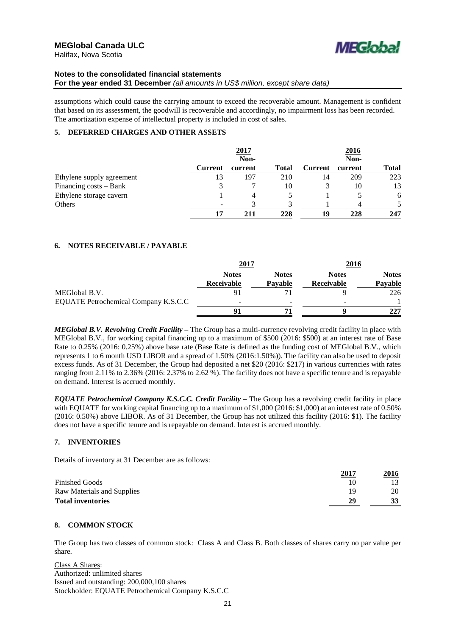



assumptions which could cause the carrying amount to exceed the recoverable amount. Management is confident that based on its assessment, the goodwill is recoverable and accordingly, no impairment loss has been recorded. The amortization expense of intellectual property is included in cost of sales.

### **5. DEFERRED CHARGES AND OTHER ASSETS**

|                           | 2017           |         |              | 2016<br>Non-   |         |              |
|---------------------------|----------------|---------|--------------|----------------|---------|--------------|
|                           | Non-           |         |              |                |         |              |
|                           | <b>Current</b> | current | <b>Total</b> | <b>Current</b> | current | <b>Total</b> |
| Ethylene supply agreement | 13             | 197     | 210          | 14             | 209     | 223          |
| Financing $costs - Bank$  |                |         | 10           |                | 10      | 13           |
| Ethylene storage cavern   |                | 4       |              |                |         | 6            |
| Others                    |                |         |              |                |         |              |
|                           | 17             | 211     | 228          | 19             | 228     | 247          |

### **6. NOTES RECEIVABLE / PAYABLE**

|                                      | <u>2017</u>                |                          | 2016                       |                         |
|--------------------------------------|----------------------------|--------------------------|----------------------------|-------------------------|
|                                      | <b>Notes</b><br>Receivable | <b>Notes</b><br>Pavable  | <b>Notes</b><br>Receivable | <b>Notes</b><br>Pavable |
| MEGlobal B.V.                        |                            |                          |                            | 226                     |
| EQUATE Petrochemical Company K.S.C.C | -                          | $\overline{\phantom{0}}$ | $\overline{\phantom{a}}$   |                         |
|                                      |                            | 71                       | o                          | 227                     |

*MEGlobal B.V. Revolving Credit Facility –* The Group has a multi-currency revolving credit facility in place with MEGlobal B.V., for working capital financing up to a maximum of \$500 (2016: \$500) at an interest rate of Base Rate to 0.25% (2016: 0.25%) above base rate (Base Rate is defined as the funding cost of MEGlobal B.V., which represents 1 to 6 month USD LIBOR and a spread of 1.50% (2016:1.50%)). The facility can also be used to deposit excess funds. As of 31 December, the Group had deposited a net \$20 (2016: \$217) in various currencies with rates ranging from 2.11% to 2.36% (2016: 2.37% to 2.62 %). The facility does not have a specific tenure and is repayable on demand. Interest is accrued monthly.

*EQUATE Petrochemical Company K.S.C.C. Credit Facility –* The Group has a revolving credit facility in place with EQUATE for working capital financing up to a maximum of \$1,000 (2016: \$1,000) at an interest rate of 0.50% (2016: 0.50%) above LIBOR. As of 31 December, the Group has not utilized this facility (2016: \$1). The facility does not have a specific tenure and is repayable on demand. Interest is accrued monthly.

### **7. INVENTORIES**

Details of inventory at 31 December are as follows:

|                            | 2017 | <u>2016</u> |
|----------------------------|------|-------------|
| <b>Finished Goods</b>      | 10   |             |
| Raw Materials and Supplies | 19   | 20          |
| <b>Total inventories</b>   | 29   |             |
|                            |      |             |

### **8. COMMON STOCK**

The Group has two classes of common stock: Class A and Class B. Both classes of shares carry no par value per share.

Class A Shares: Authorized: unlimited shares Issued and outstanding: 200,000,100 shares Stockholder: EQUATE Petrochemical Company K.S.C.C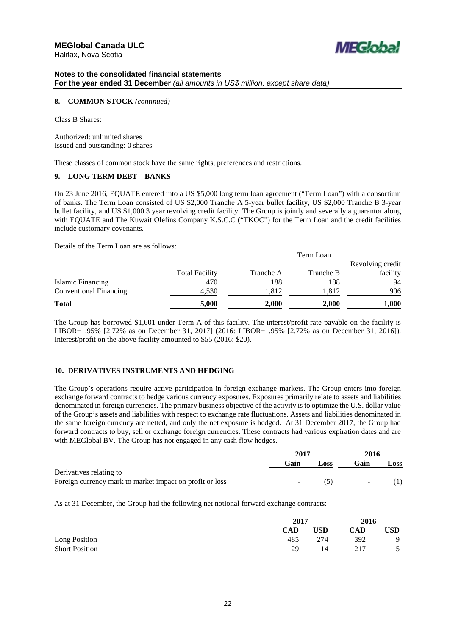



### **8. COMMON STOCK** *(continued)*

Class B Shares:

Authorized: unlimited shares Issued and outstanding: 0 shares

These classes of common stock have the same rights, preferences and restrictions.

### **9. LONG TERM DEBT – BANKS**

On 23 June 2016, EQUATE entered into a US \$5,000 long term loan agreement ("Term Loan") with a consortium of banks. The Term Loan consisted of US \$2,000 Tranche A 5-year bullet facility, US \$2,000 Tranche B 3-year bullet facility, and US \$1,000 3 year revolving credit facility. The Group is jointly and severally a guarantor along with EQUATE and The Kuwait Olefins Company K.S.C.C ("TKOC") for the Term Loan and the credit facilities include customary covenants.

Details of the Term Loan are as follows:

|                               |                       | Term Loan |                  |          |  |
|-------------------------------|-----------------------|-----------|------------------|----------|--|
|                               |                       |           | Revolving credit |          |  |
|                               | <b>Total Facility</b> | Tranche A | Tranche B        | facility |  |
| Islamic Financing             | 470                   | 188       | 188              | 94       |  |
| <b>Conventional Financing</b> | 4,530                 | 1,812     | 1,812            | 906      |  |
| <b>Total</b>                  | 5,000                 | 2,000     | 2,000            | 1,000    |  |

The Group has borrowed \$1,601 under Term A of this facility. The interest/profit rate payable on the facility is LIBOR+1.95% [2.72% as on December 31, 2017] (2016: LIBOR+1.95% [2.72% as on December 31, 2016]). Interest/profit on the above facility amounted to \$55 (2016: \$20).

### **10. DERIVATIVES INSTRUMENTS AND HEDGING**

The Group's operations require active participation in foreign exchange markets. The Group enters into foreign exchange forward contracts to hedge various currency exposures. Exposures primarily relate to assets and liabilities denominated in foreign currencies. The primary business objective of the activity is to optimize the U.S. dollar value of the Group's assets and liabilities with respect to exchange rate fluctuations. Assets and liabilities denominated in the same foreign currency are netted, and only the net exposure is hedged. At 31 December 2017, the Group had forward contracts to buy, sell or exchange foreign currencies. These contracts had various expiration dates and are with MEGlobal BV. The Group has not engaged in any cash flow hedges.

|                                                          | 2017   |      | 2016   |      |
|----------------------------------------------------------|--------|------|--------|------|
|                                                          | Gain   | Loss | Gain   | Loss |
| Derivatives relating to                                  |        |      |        |      |
| Foreign currency mark to market impact on profit or loss | $\sim$ |      | $\sim$ |      |

As at 31 December, the Group had the following net notional forward exchange contracts:

|                       | 2017 |            | 2016 |     |
|-----------------------|------|------------|------|-----|
|                       | CAD  | <b>USD</b> | CAD  | USD |
| Long Position         | 485  | 274        | 392  | -9  |
| <b>Short Position</b> | 29   |            | 217  |     |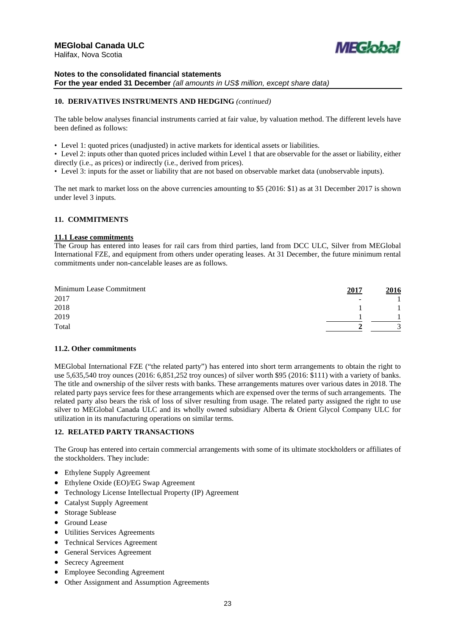

### **Notes to the consolidated financial statements For the year ended 31 December** *(all amounts in US\$ million, except share data)*

### **10. DERIVATIVES INSTRUMENTS AND HEDGING** *(continued)*

The table below analyses financial instruments carried at fair value, by valuation method. The different levels have been defined as follows:

- Level 1: quoted prices (unadjusted) in active markets for identical assets or liabilities.
- Level 2: inputs other than quoted prices included within Level 1 that are observable for the asset or liability, either directly (i.e., as prices) or indirectly (i.e., derived from prices).
- Level 3: inputs for the asset or liability that are not based on observable market data (unobservable inputs).

The net mark to market loss on the above currencies amounting to \$5 (2016: \$1) as at 31 December 2017 is shown under level 3 inputs.

### **11. COMMITMENTS**

### **11.1 Lease commitments**

The Group has entered into leases for rail cars from third parties, land from DCC ULC, Silver from MEGlobal International FZE, and equipment from others under operating leases. At 31 December, the future minimum rental commitments under non-cancelable leases are as follows.

| Minimum Lease Commitment | 2017           | 2016 |
|--------------------------|----------------|------|
| 2017                     | $\overline{a}$ |      |
| 2018                     |                |      |
| 2019                     |                |      |
| Total                    |                |      |

### **11.2. Other commitments**

MEGlobal International FZE ("the related party") has entered into short term arrangements to obtain the right to use 5,635,540 troy ounces (2016: 6,851,252 troy ounces) of silver worth \$95 (2016: \$111) with a variety of banks. The title and ownership of the silver rests with banks. These arrangements matures over various dates in 2018. The related party pays service fees for these arrangements which are expensed over the terms of such arrangements. The related party also bears the risk of loss of silver resulting from usage. The related party assigned the right to use silver to MEGlobal Canada ULC and its wholly owned subsidiary Alberta & Orient Glycol Company ULC for utilization in its manufacturing operations on similar terms.

### **12. RELATED PARTY TRANSACTIONS**

The Group has entered into certain commercial arrangements with some of its ultimate stockholders or affiliates of the stockholders. They include:

- Ethylene Supply Agreement
- Ethylene Oxide (EO)/EG Swap Agreement
- Technology License Intellectual Property (IP) Agreement
- Catalyst Supply Agreement
- Storage Sublease
- Ground Lease
- Utilities Services Agreements
- Technical Services Agreement
- General Services Agreement
- Secrecy Agreement
- Employee Seconding Agreement
- Other Assignment and Assumption Agreements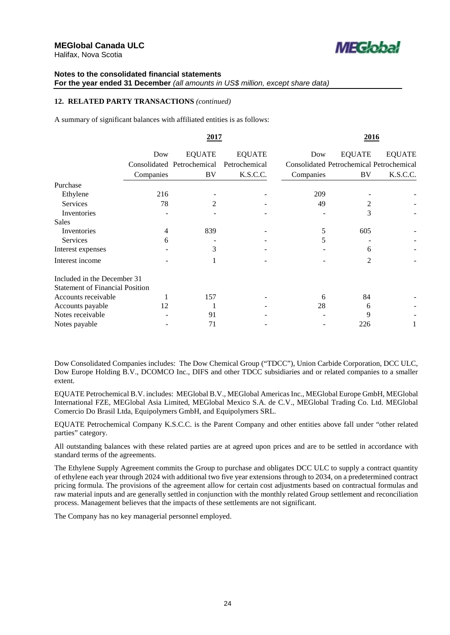

### **12. RELATED PARTY TRANSACTIONS** *(continued)*

A summary of significant balances with affiliated entities is as follows:

|                                        |                | 2017                       |               |                                                 | 2016           |               |
|----------------------------------------|----------------|----------------------------|---------------|-------------------------------------------------|----------------|---------------|
|                                        | Dow            | <b>EQUATE</b>              | <b>EQUATE</b> | Dow                                             | <b>EQUATE</b>  | <b>EQUATE</b> |
|                                        |                | Consolidated Petrochemical | Petrochemical | <b>Consolidated Petrochemical Petrochemical</b> |                |               |
|                                        | Companies      | BV                         | K.S.C.C.      | Companies                                       | BV             | K.S.C.C.      |
| Purchase                               |                |                            |               |                                                 |                |               |
| Ethylene                               | 216            |                            |               | 209                                             |                |               |
| <b>Services</b>                        | 78             | $\mathfrak{D}$             |               | 49                                              |                |               |
| Inventories                            |                |                            |               |                                                 | 3              |               |
| Sales                                  |                |                            |               |                                                 |                |               |
| Inventories                            | $\overline{4}$ | 839                        |               | 5                                               | 605            |               |
| <b>Services</b>                        | 6              |                            |               | 5                                               |                |               |
| Interest expenses                      |                | 3                          |               |                                                 | 6              |               |
| Interest income                        |                |                            |               |                                                 | $\overline{2}$ |               |
| Included in the December 31            |                |                            |               |                                                 |                |               |
| <b>Statement of Financial Position</b> |                |                            |               |                                                 |                |               |
| Accounts receivable                    |                | 157                        |               | 6                                               | 84             |               |
| Accounts payable                       | 12             |                            |               | 28                                              | 6              |               |
| Notes receivable                       |                | 91                         |               |                                                 | 9              |               |
| Notes payable                          |                | 71                         |               |                                                 | 226            |               |

Dow Consolidated Companies includes: The Dow Chemical Group ("TDCC"), Union Carbide Corporation, DCC ULC, Dow Europe Holding B.V., DCOMCO Inc., DIFS and other TDCC subsidiaries and or related companies to a smaller extent.

EQUATE Petrochemical B.V. includes: MEGlobal B.V., MEGlobal Americas Inc., MEGlobal Europe GmbH, MEGlobal International FZE, MEGlobal Asia Limited, MEGlobal Mexico S.A. de C.V., MEGlobal Trading Co. Ltd. MEGlobal Comercio Do Brasil Ltda, Equipolymers GmbH, and Equipolymers SRL.

EQUATE Petrochemical Company K.S.C.C. is the Parent Company and other entities above fall under "other related parties" category.

All outstanding balances with these related parties are at agreed upon prices and are to be settled in accordance with standard terms of the agreements.

The Ethylene Supply Agreement commits the Group to purchase and obligates DCC ULC to supply a contract quantity of ethylene each year through 2024 with additional two five year extensions through to 2034, on a predetermined contract pricing formula. The provisions of the agreement allow for certain cost adjustments based on contractual formulas and raw material inputs and are generally settled in conjunction with the monthly related Group settlement and reconciliation process. Management believes that the impacts of these settlements are not significant.

The Company has no key managerial personnel employed.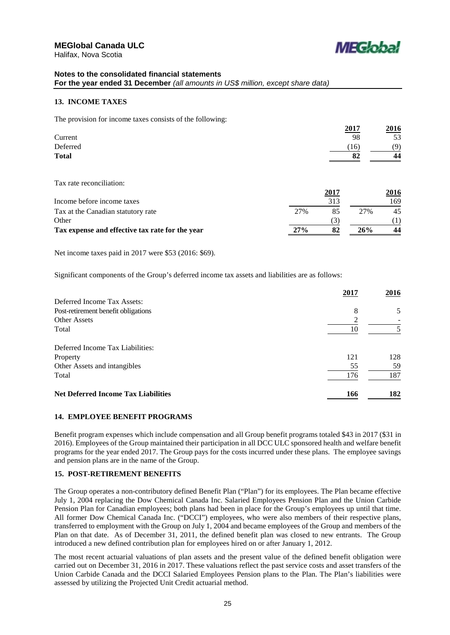

### **Notes to the consolidated financial statements For the year ended 31 December** *(all amounts in US\$ million, except share data)*

### **13. INCOME TAXES**

The provision for income taxes consists of the following:

| <u>2017</u> | 2016 |
|-------------|------|
| 98          | 53   |
| (16)        | (9)  |
| 82          | 44   |
|             |      |

Tax rate reconciliation:

|                                                 |     | 2017 |     | 2016 |
|-------------------------------------------------|-----|------|-----|------|
| Income before income taxes                      |     | 313  |     | 169  |
| Tax at the Canadian statutory rate              | 27% | 85   | 27% | 45   |
| Other                                           |     | 3    |     |      |
| Tax expense and effective tax rate for the vear | 27% | 82   | 26% | 44   |

Net income taxes paid in 2017 were \$53 (2016: \$69).

Significant components of the Group's deferred income tax assets and liabilities are as follows:

|                                            | 2017 | 2016 |
|--------------------------------------------|------|------|
| Deferred Income Tax Assets:                |      |      |
| Post-retirement benefit obligations        | 8    | 5    |
| <b>Other Assets</b>                        | ◠    |      |
| Total                                      | 10   |      |
| Deferred Income Tax Liabilities:           |      |      |
| Property                                   | 121  | 128  |
| Other Assets and intangibles               | 55   | 59   |
| Total                                      | 176  | 187  |
| <b>Net Deferred Income Tax Liabilities</b> | 166  | 182  |

### **14. EMPLOYEE BENEFIT PROGRAMS**

Benefit program expenses which include compensation and all Group benefit programs totaled \$43 in 2017 (\$31 in 2016). Employees of the Group maintained their participation in all DCC ULC sponsored health and welfare benefit programs for the year ended 2017. The Group pays for the costs incurred under these plans. The employee savings and pension plans are in the name of the Group.

### **15. POST-RETIREMENT BENEFITS**

The Group operates a non-contributory defined Benefit Plan ("Plan") for its employees. The Plan became effective July 1, 2004 replacing the Dow Chemical Canada Inc. Salaried Employees Pension Plan and the Union Carbide Pension Plan for Canadian employees; both plans had been in place for the Group's employees up until that time. All former Dow Chemical Canada Inc. ("DCCI") employees, who were also members of their respective plans, transferred to employment with the Group on July 1, 2004 and became employees of the Group and members of the Plan on that date. As of December 31, 2011, the defined benefit plan was closed to new entrants. The Group introduced a new defined contribution plan for employees hired on or after January 1, 2012.

The most recent actuarial valuations of plan assets and the present value of the defined benefit obligation were carried out on December 31, 2016 in 2017. These valuations reflect the past service costs and asset transfers of the Union Carbide Canada and the DCCI Salaried Employees Pension plans to the Plan. The Plan's liabilities were assessed by utilizing the Projected Unit Credit actuarial method.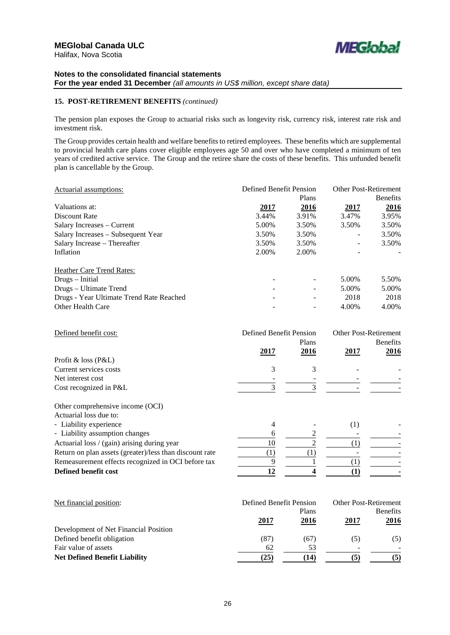

### **15. POST-RETIREMENT BENEFITS** *(continued)*

The pension plan exposes the Group to actuarial risks such as longevity risk, currency risk, interest rate risk and investment risk.

The Group provides certain health and welfare benefits to retired employees. These benefits which are supplemental to provincial health care plans cover eligible employees age 50 and over who have completed a minimum of ten years of credited active service. The Group and the retiree share the costs of these benefits. This unfunded benefit plan is cancellable by the Group.

| Actuarial assumptions:                   | Defined Benefit Pension |             | <b>Other Post-Retirement</b> |                 |
|------------------------------------------|-------------------------|-------------|------------------------------|-----------------|
|                                          |                         | Plans       |                              | <b>Benefits</b> |
| Valuations at:                           | <u>2017</u>             | <u>2016</u> | <u>2017</u>                  | 2016            |
| Discount Rate                            | 3.44%                   | 3.91%       | 3.47%                        | 3.95%           |
| Salary Increases – Current               | 5.00%                   | 3.50%       | 3.50%                        | 3.50%           |
| Salary Increases – Subsequent Year       | 3.50%                   | 3.50%       | -                            | 3.50%           |
| Salary Increase – Thereafter             | 3.50%                   | 3.50%       | $\qquad \qquad -$            | 3.50%           |
| Inflation                                | 2.00%                   | 2.00%       |                              |                 |
| <b>Heather Care Trend Rates:</b>         |                         |             |                              |                 |
| Drugs – Initial                          |                         |             | 5.00%                        | 5.50%           |
| Drugs – Ultimate Trend                   |                         |             | 5.00%                        | 5.00%           |
| Drugs - Year Ultimate Trend Rate Reached |                         |             | 2018                         | 2018            |
| Other Health Care                        |                         |             | 4.00%                        | 4.00%           |

| Defined benefit cost:                                  | Defined Benefit Pension |               | <b>Other Post-Retirement</b> |                         |  |
|--------------------------------------------------------|-------------------------|---------------|------------------------------|-------------------------|--|
|                                                        | 2017                    | Plans<br>2016 | 2017                         | <b>Benefits</b><br>2016 |  |
| Profit & loss $(P&L)$                                  |                         |               |                              |                         |  |
| Current services costs                                 | 3                       | 3             |                              |                         |  |
| Net interest cost                                      |                         |               |                              |                         |  |
| Cost recognized in P&L                                 |                         |               |                              |                         |  |
| Other comprehensive income (OCI)                       |                         |               |                              |                         |  |
| Actuarial loss due to:                                 |                         |               |                              |                         |  |
| - Liability experience                                 | 4                       |               | (1)                          |                         |  |
| - Liability assumption changes                         |                         |               |                              |                         |  |
| Actuarial loss / (gain) arising during year            | 10                      |               |                              |                         |  |
| Detum on plan accets (overton) less than discount rate | (1)                     | (1)           |                              |                         |  |

Return on plan assets (greater)/less than discount rate Remeasurement effects recognized in OCI before tax  $\overline{9}$   $\overline{1}$   $\overline{1}$   $\overline{1}$   $\overline{1}$   $\overline{1}$   $\overline{1}$   $\overline{1}$   $\overline{1}$   $\overline{1}$   $\overline{1}$   $\overline{1}$   $\overline{1}$   $\overline{1}$   $\overline{1}$   $\overline{1}$   $\overline{1}$   $\overline{1}$   $\overline{1}$ **Defined benefit cost 12 4** (1)

| Net financial position:               | Defined Benefit Pension |             | <b>Other Post-Retirement</b> |                 |  |
|---------------------------------------|-------------------------|-------------|------------------------------|-----------------|--|
|                                       |                         | Plans       |                              | <b>Benefits</b> |  |
|                                       | 2017                    | <u>2016</u> | <u> 2017 </u>                | <u>2016</u>     |  |
| Development of Net Financial Position |                         |             |                              |                 |  |
| Defined benefit obligation            | (87)                    | (67)        | (5)                          | (5)             |  |
| Fair value of assets                  | 62                      | 53          | -                            |                 |  |
| <b>Net Defined Benefit Liability</b>  | (25)                    | (14)        | (5)                          | (5)             |  |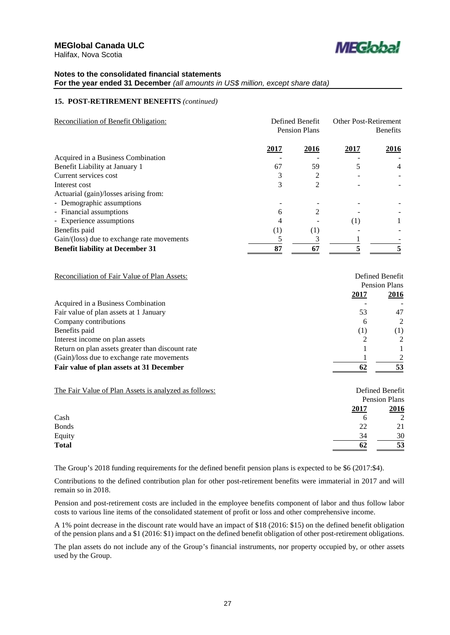

# **15. POST-RETIREMENT BENEFITS** *(continued)*

| <b>Reconciliation of Benefit Obligation:</b> | Defined Benefit<br><b>Pension Plans</b> |      | <b>Other Post-Retirement</b><br><b>Benefits</b> |                |
|----------------------------------------------|-----------------------------------------|------|-------------------------------------------------|----------------|
|                                              | 2017                                    | 2016 | 2017                                            | 2016           |
| Acquired in a Business Combination           |                                         |      |                                                 |                |
| Benefit Liability at January 1               | 67                                      | 59   |                                                 | $\overline{4}$ |
| Current services cost                        |                                         |      |                                                 |                |
| Interest cost                                | 3                                       | 2    |                                                 |                |
| Actuarial (gain)/losses arising from:        |                                         |      |                                                 |                |
| - Demographic assumptions                    |                                         |      |                                                 |                |
| - Financial assumptions                      | 6                                       | 2    |                                                 |                |
| - Experience assumptions                     | 4                                       |      | (1)                                             |                |
| Benefits paid                                | (1)                                     | (1)  |                                                 |                |
| Gain/(loss) due to exchange rate movements   |                                         |      |                                                 |                |
| <b>Benefit liability at December 31</b>      | 87                                      | 67   |                                                 |                |

| Reconciliation of Fair Value of Plan Assets:     | Defined Benefit |               |  |
|--------------------------------------------------|-----------------|---------------|--|
|                                                  |                 | Pension Plans |  |
|                                                  | 2017            | 2016          |  |
| Acquired in a Business Combination               |                 |               |  |
| Fair value of plan assets at 1 January           | 53              | 47            |  |
| Company contributions                            | 6               | $\mathcal{L}$ |  |
| Benefits paid                                    | (1)             | (1)           |  |
| Interest income on plan assets                   |                 | $\mathcal{L}$ |  |
| Return on plan assets greater than discount rate |                 |               |  |
| (Gain)/loss due to exchange rate movements       |                 |               |  |
| Fair value of plan assets at 31 December         | 62              | 53            |  |

| The Fair Value of Plan Assets is analyzed as follows: | Defined Benefit |  |  |
|-------------------------------------------------------|-----------------|--|--|
|                                                       | Pension Plans   |  |  |
| 2017                                                  | 2016            |  |  |
| Cash<br>6                                             | $\mathfrak{D}$  |  |  |
| <b>Bonds</b><br>22                                    | 21              |  |  |
| Equity<br>34                                          | 30              |  |  |
| <b>Total</b><br>62                                    | 53              |  |  |

The Group's 2018 funding requirements for the defined benefit pension plans is expected to be \$6 (2017:\$4).

Contributions to the defined contribution plan for other post-retirement benefits were immaterial in 2017 and will remain so in 2018.

Pension and post-retirement costs are included in the employee benefits component of labor and thus follow labor costs to various line items of the consolidated statement of profit or loss and other comprehensive income.

A 1% point decrease in the discount rate would have an impact of \$18 (2016: \$15) on the defined benefit obligation of the pension plans and a \$1 (2016: \$1) impact on the defined benefit obligation of other post-retirement obligations.

The plan assets do not include any of the Group's financial instruments, nor property occupied by, or other assets used by the Group.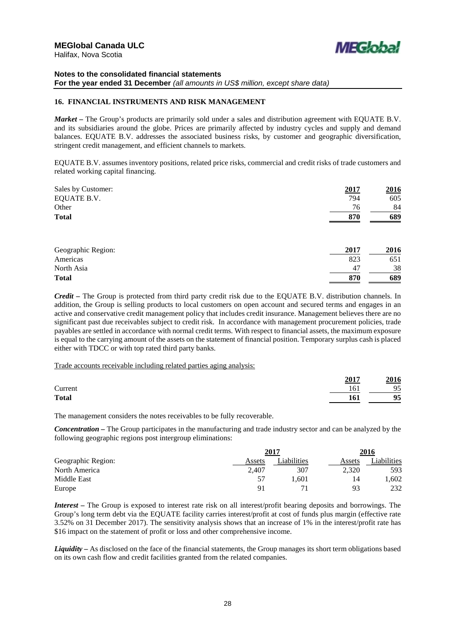

### **Notes to the consolidated financial statements For the year ended 31 December** *(all amounts in US\$ million, except share data)*

### **16. FINANCIAL INSTRUMENTS AND RISK MANAGEMENT**

*Market –* The Group's products are primarily sold under a sales and distribution agreement with EQUATE B.V. and its subsidiaries around the globe. Prices are primarily affected by industry cycles and supply and demand balances. EQUATE B.V. addresses the associated business risks, by customer and geographic diversification, stringent credit management, and efficient channels to markets.

EQUATE B.V. assumes inventory positions, related price risks, commercial and credit risks of trade customers and related working capital financing.

| Sales by Customer: | 2017 | 2016 |  |
|--------------------|------|------|--|
| <b>EQUATE B.V.</b> | 794  | 605  |  |
| Other              | 76   | 84   |  |
| <b>Total</b>       | 870  | 689  |  |
|                    |      |      |  |
| Geographic Region: | 2017 | 2016 |  |
| Americas           | 823  | 651  |  |
| North Asia         | 47   | 38   |  |
| <b>Total</b>       | 870  | 689  |  |

*Credit –* The Group is protected from third party credit risk due to the EQUATE B.V. distribution channels. In addition, the Group is selling products to local customers on open account and secured terms and engages in an active and conservative credit management policy that includes credit insurance. Management believes there are no significant past due receivables subject to credit risk. In accordance with management procurement policies, trade payables are settled in accordance with normal credit terms. With respect to financial assets, the maximum exposure is equal to the carrying amount of the assets on the statement of financial position. Temporary surplus cash is placed either with TDCC or with top rated third party banks.

#### Trade accounts receivable including related parties aging analysis:

|              | 2017 | 2016 |
|--------------|------|------|
| Current      | 161  | 95   |
| <b>Total</b> | 161  | 95   |

The management considers the notes receivables to be fully recoverable.

*Concentration –* The Group participates in the manufacturing and trade industry sector and can be analyzed by the following geographic regions post intergroup eliminations:

|                    | 2017   |            | 2016   |            |
|--------------------|--------|------------|--------|------------|
| Geographic Region: | Assets | iabilities | Assets | iabilities |
| North America      | 2.407  | 307        | 2.320  | 593        |
| Middle East        | 57     | 1.601      | 14     | .602       |
| Europe             | 91     |            | 93     | 232        |

*Interest –* The Group is exposed to interest rate risk on all interest/profit bearing deposits and borrowings. The Group's long term debt via the EQUATE facility carries interest/profit at cost of funds plus margin (effective rate 3.52% on 31 December 2017). The sensitivity analysis shows that an increase of 1% in the interest/profit rate has \$16 impact on the statement of profit or loss and other comprehensive income.

*Liquidity* **–** As disclosed on the face of the financial statements, the Group manages its short term obligations based on its own cash flow and credit facilities granted from the related companies.